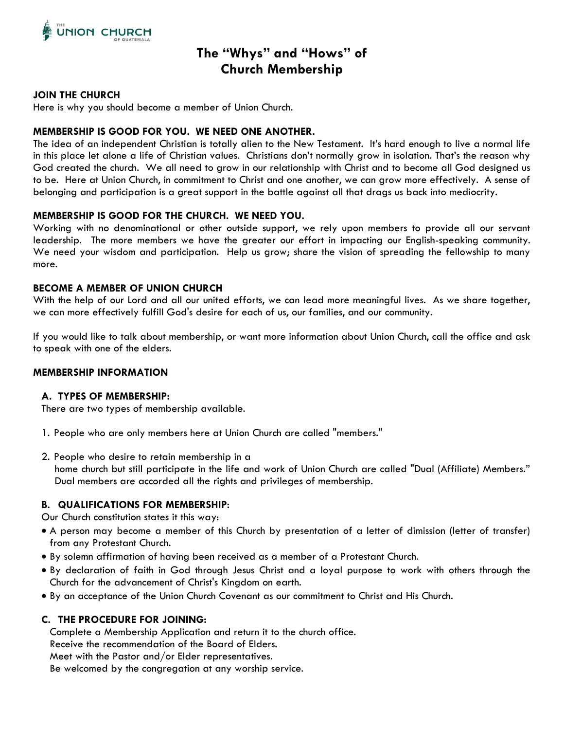

# **The "Whys" and "Hows" of Church Membership**

#### **JOIN THE CHURCH**

Here is why you should become a member of Union Church.

# **MEMBERSHIP IS GOOD FOR YOU. WE NEED ONE ANOTHER.**

The idea of an independent Christian is totally alien to the New Testament. It's hard enough to live a normal life in this place let alone a life of Christian values. Christians don't normally grow in isolation. That's the reason why God created the church. We all need to grow in our relationship with Christ and to become all God designed us to be. Here at Union Church, in commitment to Christ and one another, we can grow more effectively. A sense of belonging and participation is a great support in the battle against all that drags us back into mediocrity.

#### **MEMBERSHIP IS GOOD FOR THE CHURCH. WE NEED YOU.**

Working with no denominational or other outside support, we rely upon members to provide all our servant leadership. The more members we have the greater our effort in impacting our English-speaking community. We need your wisdom and participation. Help us grow; share the vision of spreading the fellowship to many more.

## **BECOME A MEMBER OF UNION CHURCH**

With the help of our Lord and all our united efforts, we can lead more meaningful lives. As we share together, we can more effectively fulfill God's desire for each of us, our families, and our community.

If you would like to talk about membership, or want more information about Union Church, call the office and ask to speak with one of the elders.

#### **MEMBERSHIP INFORMATION**

#### **A. TYPES OF MEMBERSHIP:**

There are two types of membership available.

- 1. People who are only members here at Union Church are called "members."
- 2. People who desire to retain membership in a

home church but still participate in the life and work of Union Church are called "Dual (Affiliate) Members." Dual members are accorded all the rights and privileges of membership.

#### **B. QUALIFICATIONS FOR MEMBERSHIP:**

Our Church constitution states it this way:

- A person may become a member of this Church by presentation of a letter of dimission (letter of transfer) from any Protestant Church.
- By solemn affirmation of having been received as a member of a Protestant Church.
- By declaration of faith in God through Jesus Christ and a loyal purpose to work with others through the Church for the advancement of Christ's Kingdom on earth.
- By an acceptance of the Union Church Covenant as our commitment to Christ and His Church.

#### **C. THE PROCEDURE FOR JOINING:**

Complete a Membership Application and return it to the church office.

Receive the recommendation of the Board of Elders.

Meet with the Pastor and/or Elder representatives.

Be welcomed by the congregation at any worship service.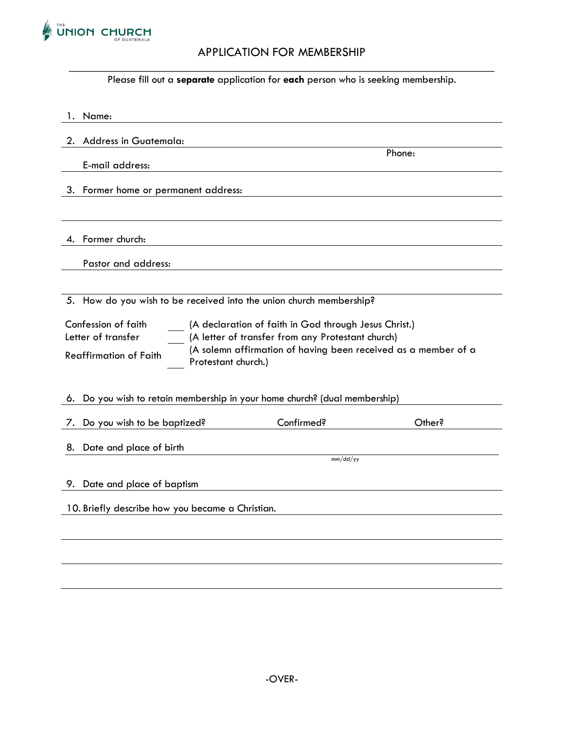

# APPLICATION FOR MEMBERSHIP

 $\_$  , and the set of the set of the set of the set of the set of the set of the set of the set of the set of the set of the set of the set of the set of the set of the set of the set of the set of the set of the set of th Please fill out a **separate** application for **each** person who is seeking membership.

| Name:<br>1.                                                                                                                                                                                                                                                                       |            |        |  |  |
|-----------------------------------------------------------------------------------------------------------------------------------------------------------------------------------------------------------------------------------------------------------------------------------|------------|--------|--|--|
| <b>Address in Guatemala:</b><br>2.                                                                                                                                                                                                                                                |            |        |  |  |
|                                                                                                                                                                                                                                                                                   |            | Phone: |  |  |
| E-mail address:                                                                                                                                                                                                                                                                   |            |        |  |  |
| 3. Former home or permanent address:                                                                                                                                                                                                                                              |            |        |  |  |
|                                                                                                                                                                                                                                                                                   |            |        |  |  |
| Former church:<br>4.                                                                                                                                                                                                                                                              |            |        |  |  |
| Pastor and address:                                                                                                                                                                                                                                                               |            |        |  |  |
|                                                                                                                                                                                                                                                                                   |            |        |  |  |
| 5. How do you wish to be received into the union church membership?                                                                                                                                                                                                               |            |        |  |  |
| Confession of faith<br>(A declaration of faith in God through Jesus Christ.)<br>Letter of transfer<br>(A letter of transfer from any Protestant church)<br>(A solemn affirmation of having been received as a member of a<br><b>Reaffirmation of Faith</b><br>Protestant church.) |            |        |  |  |
| Do you wish to retain membership in your home church? (dual membership)<br>6.                                                                                                                                                                                                     |            |        |  |  |
| Do you wish to be baptized?<br>7.                                                                                                                                                                                                                                                 | Confirmed? | Other? |  |  |
| Date and place of birth<br>8.                                                                                                                                                                                                                                                     |            |        |  |  |
|                                                                                                                                                                                                                                                                                   | mm/dd/yy   |        |  |  |
| 9. Date and place of baptism                                                                                                                                                                                                                                                      |            |        |  |  |
| 10. Briefly describe how you became a Christian.                                                                                                                                                                                                                                  |            |        |  |  |
|                                                                                                                                                                                                                                                                                   |            |        |  |  |
|                                                                                                                                                                                                                                                                                   |            |        |  |  |
|                                                                                                                                                                                                                                                                                   |            |        |  |  |